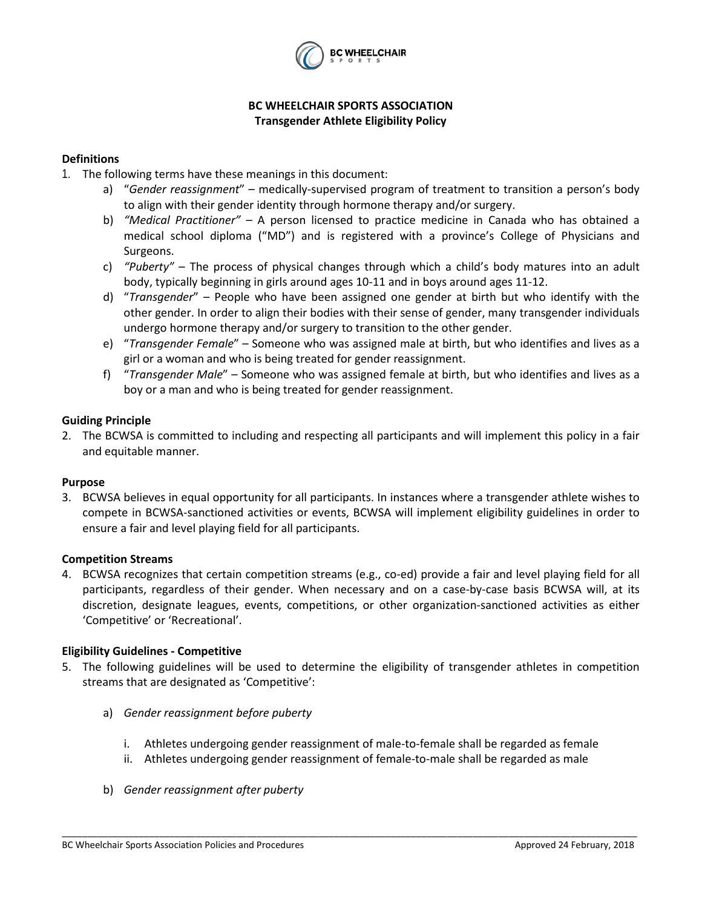

# **BC WHEELCHAIR SPORTS ASSOCIATION Transgender Athlete Eligibility Policy**

# **Definitions**

- 1. The following terms have these meanings in this document:
	- a) "*Gender reassignment*" medically-supervised program of treatment to transition a person's body to align with their gender identity through hormone therapy and/or surgery.
	- b) *"Medical Practitioner"* A person licensed to practice medicine in Canada who has obtained a medical school diploma ("MD") and is registered with a province's College of Physicians and Surgeons.
	- c) *"Puberty"*  The process of physical changes through which a child's body matures into an adult body, typically beginning in girls around ages 10-11 and in boys around ages 11-12.
	- d) "*Transgender*" People who have been assigned one gender at birth but who identify with the other gender. In order to align their bodies with their sense of gender, many transgender individuals undergo hormone therapy and/or surgery to transition to the other gender.
	- e) "*Transgender Female*" Someone who was assigned male at birth, but who identifies and lives as a girl or a woman and who is being treated for gender reassignment.
	- f) "*Transgender Male*" Someone who was assigned female at birth, but who identifies and lives as a boy or a man and who is being treated for gender reassignment.

### **Guiding Principle**

2. The BCWSA is committed to including and respecting all participants and will implement this policy in a fair and equitable manner.

### **Purpose**

3. BCWSA believes in equal opportunity for all participants. In instances where a transgender athlete wishes to compete in BCWSA-sanctioned activities or events, BCWSA will implement eligibility guidelines in order to ensure a fair and level playing field for all participants.

### **Competition Streams**

4. BCWSA recognizes that certain competition streams (e.g., co-ed) provide a fair and level playing field for all participants, regardless of their gender. When necessary and on a case-by-case basis BCWSA will, at its discretion, designate leagues, events, competitions, or other organization-sanctioned activities as either 'Competitive' or 'Recreational'.

### **Eligibility Guidelines - Competitive**

- 5. The following guidelines will be used to determine the eligibility of transgender athletes in competition streams that are designated as 'Competitive':
	- a) *Gender reassignment before puberty*
		- i. Athletes undergoing gender reassignment of male-to-female shall be regarded as female
		- ii. Athletes undergoing gender reassignment of female-to-male shall be regarded as male

\_\_\_\_\_\_\_\_\_\_\_\_\_\_\_\_\_\_\_\_\_\_\_\_\_\_\_\_\_\_\_\_\_\_\_\_\_\_\_\_\_\_\_\_\_\_\_\_\_\_\_\_\_\_\_\_\_\_\_\_\_\_\_\_\_\_\_\_\_\_\_\_\_\_\_\_\_\_\_\_\_\_\_\_\_\_\_\_\_\_\_\_\_\_\_\_\_\_\_\_\_\_\_\_\_\_\_\_\_\_\_\_

b) *Gender reassignment after puberty*